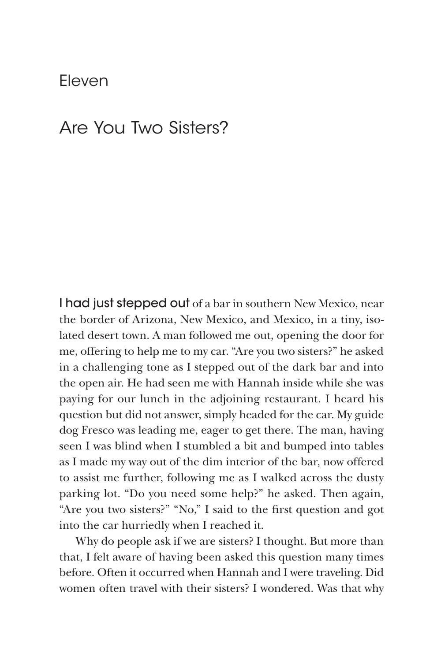## Eleven

## Are You Two Sisters?

I had just stepped out of a bar in southern New Mexico, near the border of Arizona, New Mexico, and Mexico, in a tiny, isolated desert town. A man followed me out, opening the door for me, offering to help me to my car. "Are you two sisters?" he asked in a challenging tone as I stepped out of the dark bar and into the open air. He had seen me with Hannah inside while she was paying for our lunch in the adjoining restaurant. I heard his question but did not answer, simply headed for the car. My guide dog Fresco was leading me, eager to get there. The man, having seen I was blind when I stumbled a bit and bumped into tables as I made my way out of the dim interior of the bar, now offered to assist me further, following me as I walked across the dusty parking lot. "Do you need some help?" he asked. Then again, "Are you two sisters?" "No," I said to the first question and got into the car hurriedly when I reached it.

Why do people ask if we are sisters? I thought. But more than that, I felt aware of having been asked this question many times before. Often it occurred when Hannah and I were traveling. Did women often travel with their sisters? I wondered. Was that why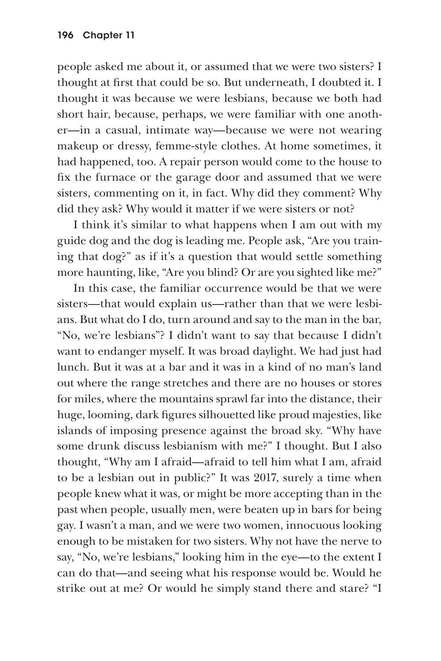people asked me about it, or assumed that we were two sisters? I thought at first that could be so. But underneath, I doubted it. I thought it was because we were lesbians, because we both had short hair, because, perhaps, we were familiar with one another—in a casual, intimate way—because we were not wearing makeup or dressy, femme-style clothes. At home sometimes, it had happened, too. A repair person would come to the house to fix the furnace or the garage door and assumed that we were sisters, commenting on it, in fact. Why did they comment? Why did they ask? Why would it matter if we were sisters or not?

I think it's similar to what happens when I am out with my guide dog and the dog is leading me. People ask, "Are you training that dog?" as if it's a question that would settle something more haunting, like, "Are you blind? Or are you sighted like me?"

In this case, the familiar occurrence would be that we were sisters—that would explain us—rather than that we were lesbians. But what do I do, turn around and say to the man in the bar, "No, we're lesbians"? I didn't want to say that because I didn't want to endanger myself. It was broad daylight. We had just had lunch. But it was at a bar and it was in a kind of no man's land out where the range stretches and there are no houses or stores for miles, where the mountains sprawl far into the distance, their huge, looming, dark figures silhouetted like proud majesties, like islands of imposing presence against the broad sky. "Why have some drunk discuss lesbianism with me?" I thought. But I also thought, "Why am I afraid—afraid to tell him what I am, afraid to be a lesbian out in public?" It was 2017, surely a time when people knew what it was, or might be more accepting than in the past when people, usually men, were beaten up in bars for being gay. I wasn't a man, and we were two women, innocuous looking enough to be mistaken for two sisters. Why not have the nerve to say, "No, we're lesbians," looking him in the eye—to the extent I can do that—and seeing what his response would be. Would he strike out at me? Or would he simply stand there and stare? "I